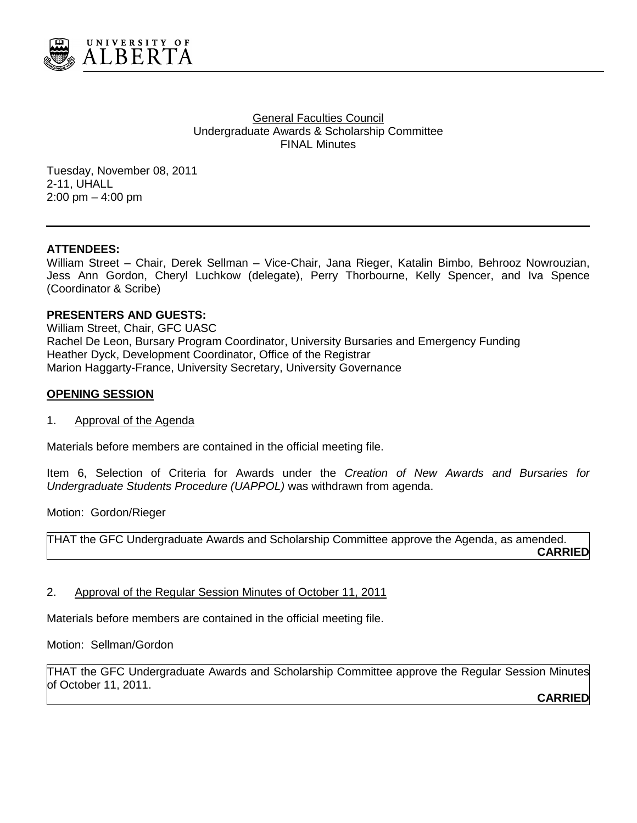

**General Faculties Council** Undergraduate Awards & Scholarship Committee FINAL Minutes

Tuesday, November 08, 2011 2-11, UHALL 2:00 pm – 4:00 pm

#### **ATTENDEES:**

William Street – Chair, Derek Sellman – Vice-Chair, Jana Rieger, Katalin Bimbo, Behrooz Nowrouzian, Jess Ann Gordon, Cheryl Luchkow (delegate), Perry Thorbourne, Kelly Spencer, and Iva Spence (Coordinator & Scribe)

### **PRESENTERS AND GUESTS:**

William Street, Chair, GFC UASC Rachel De Leon, Bursary Program Coordinator, University Bursaries and Emergency Funding Heather Dyck, Development Coordinator, Office of the Registrar Marion Haggarty-France, University Secretary, University Governance

### **OPENING SESSION**

1. Approval of the Agenda

Materials before members are contained in the official meeting file.

Item 6, Selection of Criteria for Awards under the *Creation of New Awards and Bursaries for Undergraduate Students Procedure (UAPPOL)* was withdrawn from agenda.

Motion: Gordon/Rieger

THAT the GFC Undergraduate Awards and Scholarship Committee approve the Agenda, as amended. **CARRIED**

2. Approval of the Regular Session Minutes of October 11, 2011

Materials before members are contained in the official meeting file.

Motion: Sellman/Gordon

THAT the GFC Undergraduate Awards and Scholarship Committee approve the Regular Session Minutes of October 11, 2011.

**CARRIED**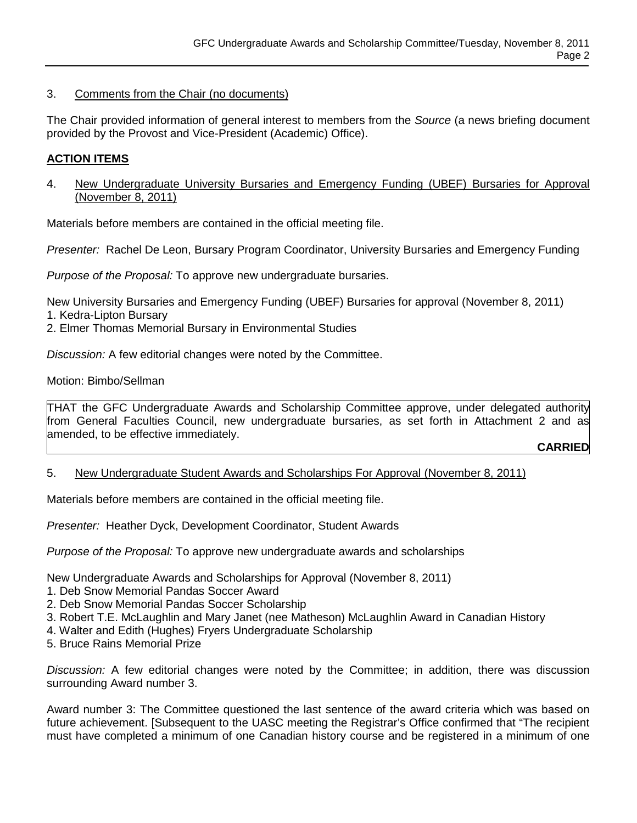# 3. Comments from the Chair (no documents)

The Chair provided information of general interest to members from the *Source* (a news briefing document provided by the Provost and Vice-President (Academic) Office).

# **ACTION ITEMS**

4. New Undergraduate University Bursaries and Emergency Funding (UBEF) Bursaries for Approval (November 8, 2011)

Materials before members are contained in the official meeting file.

*Presenter:* Rachel De Leon, Bursary Program Coordinator, University Bursaries and Emergency Funding

*Purpose of the Proposal:* To approve new undergraduate bursaries.

New University Bursaries and Emergency Funding (UBEF) Bursaries for approval (November 8, 2011)

- 1. Kedra-Lipton Bursary
- 2. Elmer Thomas Memorial Bursary in Environmental Studies

*Discussion:* A few editorial changes were noted by the Committee.

Motion: Bimbo/Sellman

THAT the GFC Undergraduate Awards and Scholarship Committee approve, under delegated authority from General Faculties Council, new undergraduate bursaries, as set forth in Attachment 2 and as amended, to be effective immediately.

**CARRIED**

5. New Undergraduate Student Awards and Scholarships For Approval (November 8, 2011)

Materials before members are contained in the official meeting file.

*Presenter:* Heather Dyck, Development Coordinator, Student Awards

*Purpose of the Proposal:* To approve new undergraduate awards and scholarships

New Undergraduate Awards and Scholarships for Approval (November 8, 2011)

- 1. Deb Snow Memorial Pandas Soccer Award
- 2. Deb Snow Memorial Pandas Soccer Scholarship
- 3. Robert T.E. McLaughlin and Mary Janet (nee Matheson) McLaughlin Award in Canadian History
- 4. Walter and Edith (Hughes) Fryers Undergraduate Scholarship
- 5. Bruce Rains Memorial Prize

*Discussion:* A few editorial changes were noted by the Committee; in addition, there was discussion surrounding Award number 3.

Award number 3: The Committee questioned the last sentence of the award criteria which was based on future achievement. [Subsequent to the UASC meeting the Registrar's Office confirmed that "The recipient must have completed a minimum of one Canadian history course and be registered in a minimum of one